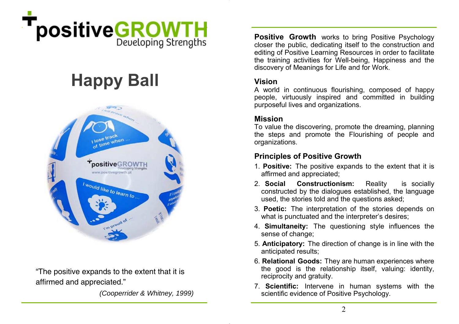

# **Happy Ball**



"The positive expands to the extent that it is affirmed and appreciated."

*(Cooperrider & Whitney, 1999)* 

**Positive Growth** works to bring Positive Psychology closer the public, dedicating itself to the construction and editing of Positive Learning Resources in order to facilitate the training activities for Well-being, Happiness and the discovery of Meanings for Life and for Work.

# **Vision**

A world in continuous flourishing, composed of happy people, virtuously inspired and committed in building purposeful lives and organizations.

# **Mission**

To value the discovering, promote the dreaming, planning the steps and promote the Flourishing of people and organizations.

# **Principles of Positive Growth**

- 1. **Positive:** The positive expands to the extent that it is affirmed and appreciated;
- 2. **Social Constructionism:** Reality is socially constructed by the dialogues established, the language used, the stories told and the questions asked;
- 3. **Poetic:** The interpretation of the stories depends on what is punctuated and the interpreter's desires:
- 4. **Simultaneity:** The questioning style influences the sense of change:
- 5. **Anticipatory:** The direction of change is in line with the anticipated results;
- 6. **Relational Goods:** They are human experiences where the good is the relationship itself, valuing: identity, reciprocity and gratuity.
- 7. **Scientific:** Intervene in human systems with the scientific evidence of Positive Psychology.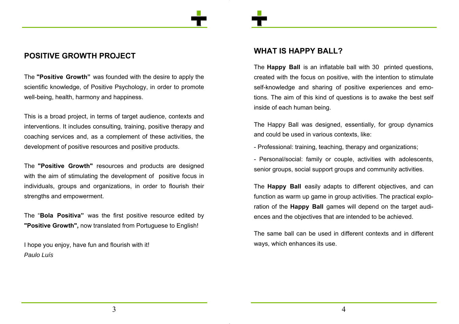# **POSITIVE GROWTH PROJECT**

The **"Positive Growth"** was founded with the desire to apply the scientific knowledge, of Positive Psychology, in order to promote well-being, health, harmony and happiness.

This is a broad project, in terms of target audience, contexts and interventions. It includes consulting, training, positive therapy and coaching services and, as a complement of these activities, the development of positive resources and positive products.

The **"Positive Growth"** resources and products are designed with the aim of stimulating the development of positive focus in individuals, groups and organizations, in order to flourish their strengths and empowerment.

The "**Bola Positiva"** was the first positive resource edited by **"Positive Growth",** now translated from Portuguese to English!

I hope you enjoy, have fun and flourish with it! *Paulo Luís*

## **WHAT IS HAPPY BALL?**

The **Happy Ball** is an inflatable ball with 30 printed questions, created with the focus on positive, with the intention to stimulate self-knowledge and sharing of positive experiences and emotions. The aim of this kind of questions is to awake the best self inside of each human being.

The Happy Ball was designed, essentially, for group dynamics and could be used in various contexts, like:

- Professional: training, teaching, therapy and organizations;

- Personal/social: family or couple, activities with adolescents, senior groups, social support groups and community activities.

The **Happy Ball** easily adapts to different objectives, and can function as warm up game in group activities. The practical exploration of the **Happy Ball** games will depend on the target audiences and the objectives that are intended to be achieved.

The same ball can be used in different contexts and in different ways, which enhances its use.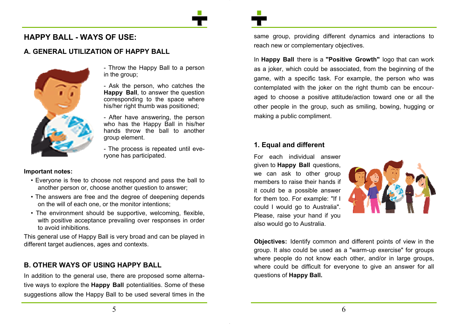## **HAPPY BALL - WAYS OF USE:**

#### **A. GENERAL UTILIZATION OF HAPPY BALL**



- Throw the Happy Ball to a person in the group;

- Ask the person, who catches the **Happy Ball**, to answer the question corresponding to the space where his/her right thumb was positioned;

- After have answering, the person who has the Happy Ball in his/her hands throw the ball to another group element.

- The process is repeated until everyone has participated.

#### **Important notes:**

- Everyone is free to choose not respond and pass the ball to another person or, choose another question to answer;
- The answers are free and the degree of deepening depends on the will of each one, or the monitor intentions;
- The environment should be supportive, welcoming, flexible, with positive acceptance prevailing over responses in order to avoid inhibitions.

This general use of Happy Ball is very broad and can be played in different target audiences, ages and contexts.

## **B. OTHER WAYS OF USING HAPPY BALL**

In addition to the general use, there are proposed some alternative ways to explore the **Happy Ball** potentialities. Some of these suggestions allow the Happy Ball to be used several times in the same group, providing different dynamics and interactions to reach new or complementary objectives.

In **Happy Ball** there is a **"Positive Growth"** logo that can work as a joker, which could be associated, from the beginning of the game, with a specific task. For example, the person who was contemplated with the joker on the right thumb can be encouraged to choose a positive attitude/action toward one or all the other people in the group, such as smiling, bowing, hugging or making a public compliment.

#### **1. Equal and different**

For each individual answer given to **Happy Ball** questions, we can ask to other group members to raise their hands if it could be a possible answer for them too. For example: "If I could I would go to Australia". Please, raise your hand if you also would go to Australia.



**Objectives:** Identify common and different points of view in the group. It also could be used as a "warm-up exercise" for groups where people do not know each other, and/or in large groups, where could be difficult for everyone to give an answer for all questions of **Happy Ball.**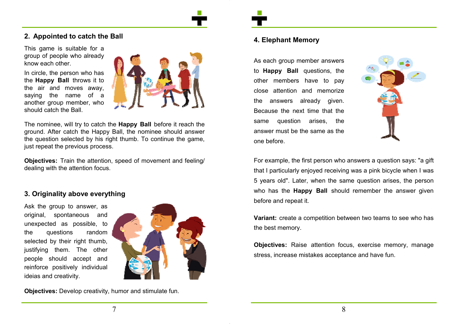#### **2. Appointed to catch the Ball**

This game is suitable for a group of people who already know each other.

In circle, the person who has the **Happy Ball** throws it to the air and moves away, saying the name of a another group member, who should catch the Ball.



The nominee, will try to catch the **Happy Ball** before it reach the ground. After catch the Happy Ball, the nominee should answer the question selected by his right thumb. To continue the game, just repeat the previous process.

**Objectives:** Train the attention, speed of movement and feeling/ dealing with the attention focus.

#### **3. Originality above everything**

Ask the group to answer, as original, spontaneous and unexpected as possible, to the questions random selected by their right thumb, justifying them. The other people should accept and reinforce positively individual ideias and creativity.



**Objectives:** Develop creativity, humor and stimulate fun.

#### **4. Elephant Memory**

As each group member answers to **Happy Ball** questions, the other members have to pay close attention and memorize the answers already given. Because the next time that the same question arises, the answer must be the same as the one before.



For example, the first person who answers a question says: "a gift that I particularly enjoyed receiving was a pink bicycle when I was 5 years old". Later, when the same question arises, the person who has the **Happy Ball** should remember the answer given before and repeat it.

**Variant:** create a competition between two teams to see who has the best memory.

**Objectives:** Raise attention focus, exercise memory, manage stress, increase mistakes acceptance and have fun.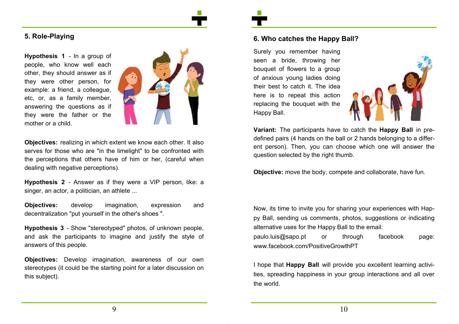#### **5. Role-Playing**

**Hypothesis 1** - In a group of people, who know well each other, they should answer as if they were other person, for example: a friend, a colleague, etc, or, as a family member, answering the questions as if they were the father or the mother or a child.



**Objectives:** realizing in which extent we know each other. It also serves for those who are "in the limelight" to be confronted with the perceptions that others have of him or her, (careful when dealing with negative perceptions).

**Hypothesis 2** - Answer as if they were a VIP person, like: a singer, an actor, a politician, an athlete ...

**Objectives:** develop imagination, expression and decentralization "put yourself in the other's shoes ".

**Hypothesis 3** - Show "stereotyped" photos, of unknown people, and ask the participants to imagine and justify the style of answers of this people.

**Objectives:** Develop imagination, awareness of our own stereotypes (it could be the starting point for a later discussion on this subject).

#### **6. Who catches the Happy Ball?**

Surely you remember having seen a bride, throwing her bouquet of flowers to a group of anxious young ladies doing their best to catch it. The idea here is to repeat this action replacing the bouquet with the Happy Ball.



**Variant:** The participants have to catch the **Happy Ball** in predefined pairs (4 hands on the ball or 2 hands belonging to a different person). Then, you can choose which one will answer the question selected by the right thumb.

**Objective:** move the body, compete and collaborate, have fun.

Now, its time to invite you for sharing your experiences with Happy Ball, sending us comments, photos, suggestions or indicating alternative uses for the Happy Ball to the email: paulo.luis@sapo.pt or through facebook page: www.facebook.com/PositiveGrowthPT

I hope that **Happy Ball** will provide you excellent learning activities, spreading happiness in your group interactions and all over the world.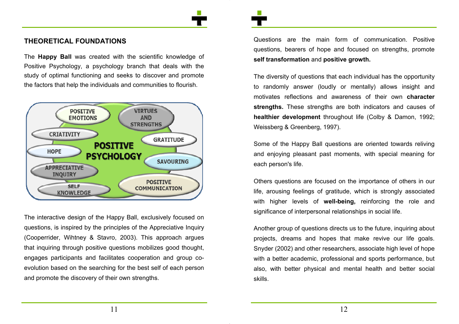#### **THEORETICAL FOUNDATIONS**

The **Happy Ball** was created with the scientific knowledge of Positive Psychology, a psychology branch that deals with the study of optimal functioning and seeks to discover and promote the factors that help the individuals and communities to flourish.



The interactive design of the Happy Ball, exclusively focused on questions, is inspired by the principles of the Appreciative Inquiry (Cooperrider, Wihtney & Stavro, 2003). This approach argues that inquiring through positive questions mobilizes good thought, engages participants and facilitates cooperation and group coevolution based on the searching for the best self of each person and promote the discovery of their own strengths.

Questions are the main form of communication. Positive questions, bearers of hope and focused on strengths, promote **self transformation** and **positive growth.**

The diversity of questions that each individual has the opportunity to randomly answer (loudly or mentally) allows insight and motivates reflections and awareness of their own **character strengths.** These strengths are both indicators and causes of **healthier development** throughout life (Colby & Damon, 1992; Weissberg & Greenberg, 1997).

Some of the Happy Ball questions are oriented towards reliving and enjoying pleasant past moments, with special meaning for each person's life.

Others questions are focused on the importance of others in our life, arousing feelings of gratitude, which is strongly associated with higher levels of **well-being,** reinforcing the role and significance of interpersonal relationships in social life.

Another group of questions directs us to the future, inquiring about projects, dreams and hopes that make revive our life goals. Snyder (2002) and other researchers, associate high level of hope with a better academic, professional and sports performance, but also, with better physical and mental health and better social skills.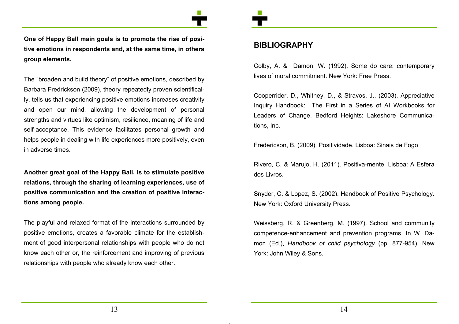

**One of Happy Ball main goals is to promote the rise of positive emotions in respondents and, at the same time, in others group elements.** 

The "broaden and build theory" of positive emotions, described by Barbara Fredrickson (2009), theory repeatedly proven scientifically, tells us that experiencing positive emotions increases creativity and open our mind, allowing the development of personal strengths and virtues like optimism, resilience, meaning of life and self-acceptance. This evidence facilitates personal growth and helps people in dealing with life experiences more positively, even in adverse times.

**Another great goal of the Happy Ball, is to stimulate positive relations, through the sharing of learning experiences, use of positive communication and the creation of positive interactions among people.** 

The playful and relaxed format of the interactions surrounded by positive emotions, creates a favorable climate for the establishment of good interpersonal relationships with people who do not know each other or, the reinforcement and improving of previous relationships with people who already know each other.

#### **BIBLIOGRAPHY**

Colby, A. & Damon, W. (1992). Some do care: contemporary lives of moral commitment. New York: Free Press.

Cooperrider, D., Whitney, D., & Stravos, J., (2003). Appreciative Inquiry Handbook: The First in a Series of AI Workbooks for Leaders of Change. Bedford Heights: Lakeshore Communications, Inc.

Fredericson, B. (2009). Positividade. Lisboa: Sinais de Fogo

Rivero, C. & Marujo, H. (2011). Positiva-mente. Lisboa: A Esfera dos Livros.

Snyder, C. & Lopez, S. (2002). Handbook of Positive Psychology. New York: Oxford University Press.

Weissberg, R. & Greenberg, M. (1997). School and community competence-enhancement and prevention programs. In W. Damon (Ed.), *Handbook of child psychology* (pp. 877-954). New York: John Wiley & Sons.